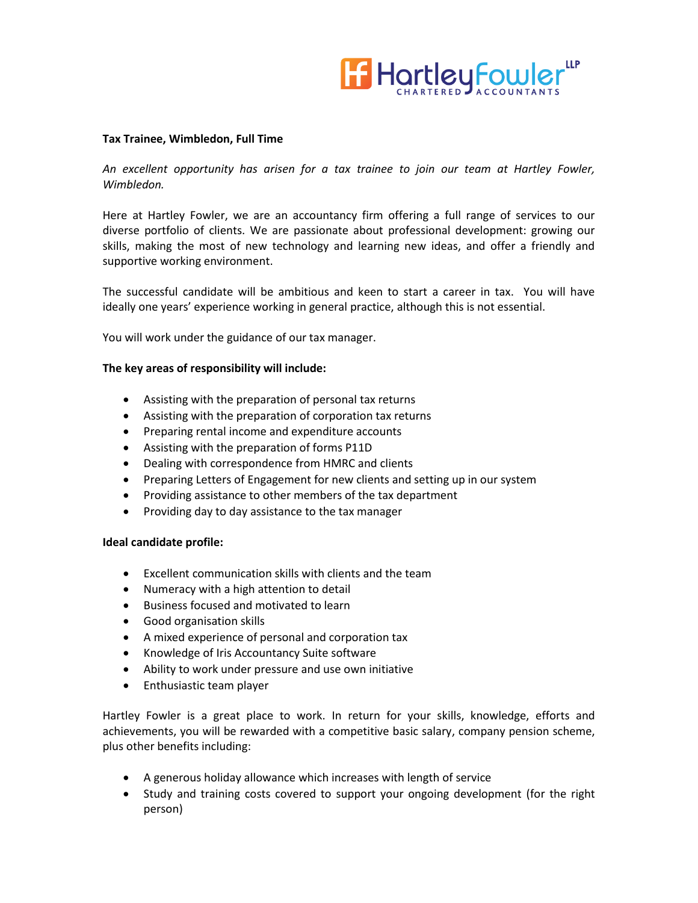

## **Tax Trainee, Wimbledon, Full Time**

*An excellent opportunity has arisen for a tax trainee to join our team at Hartley Fowler, Wimbledon.*

Here at Hartley Fowler, we are an accountancy firm offering a full range of services to our diverse portfolio of clients. We are passionate about professional development: growing our skills, making the most of new technology and learning new ideas, and offer a friendly and supportive working environment.

The successful candidate will be ambitious and keen to start a career in tax. You will have ideally one years' experience working in general practice, although this is not essential.

You will work under the guidance of our tax manager.

## **The key areas of responsibility will include:**

- Assisting with the preparation of personal tax returns
- Assisting with the preparation of corporation tax returns
- Preparing rental income and expenditure accounts
- Assisting with the preparation of forms P11D
- Dealing with correspondence from HMRC and clients
- Preparing Letters of Engagement for new clients and setting up in our system
- Providing assistance to other members of the tax department
- Providing day to day assistance to the tax manager

## **Ideal candidate profile:**

- Excellent communication skills with clients and the team
- Numeracy with a high attention to detail
- Business focused and motivated to learn
- Good organisation skills
- A mixed experience of personal and corporation tax
- Knowledge of Iris Accountancy Suite software
- Ability to work under pressure and use own initiative
- Enthusiastic team player

Hartley Fowler is a great place to work. In return for your skills, knowledge, efforts and achievements, you will be rewarded with a competitive basic salary, company pension scheme, plus other benefits including:

- A generous holiday allowance which increases with length of service
- Study and training costs covered to support your ongoing development (for the right person)